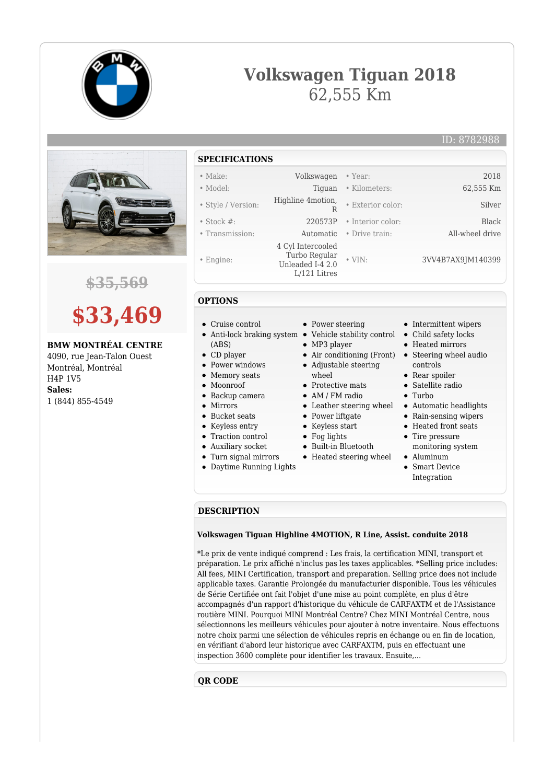





**\$35,569**

# **\$33,469**

## **BMW MONTRÉAL CENTRE**

4090, rue Jean-Talon Ouest Montréal, Montréal H4P 1V5 **Sales:** 1 (844) 855-4549

- **SPECIFICATIONS**
- Make: Volkswagen Year: 2018
- Model: Tiguan Kilometers: 62,555 Km
- Style / Version: Highline 4motion,
- Stock #: 220573P Interior color: Black
- Transmission: Automatic Drive train: All-wheel drive
- Engine:
- 

### **OPTIONS**

- Cruise control
- Anti-lock braking system Vehicle stability control
- (ABS)
- CD player
- Power windows • Memory seats
- Moonroof
- Backup camera
- Mirrors
- 
- Bucket seats
- Keyless entry
- Traction control
- Auxiliary socket
- Turn signal mirrors
- Daytime Running Lights

• Power steering

R

 4 Cyl Intercooled Turbo Regular Unleaded I-4 2.0 L/121 Litres

- 
- MP3 player
- 
- Adjustable steering whool
- Protective mats
- AM / FM radio
- 
- Power liftgate
- Keyless start
- Fog lights
- Built-in Bluetooth
- Heated steering wheel

• Intermittent wipers

ID: 8782988

• Child safety locks

• Exterior color: Silver

• VIN: 3VV4B7AX9JM140399

- Heated mirrors
- Air conditioning (Front) Steering wheel audio controls
	- Rear spoiler
	- Satellite radio
	- Turbo
- Leather steering wheel Automatic headlights
	- Rain-sensing wipers
	- Heated front seats
	- Tire pressure monitoring system
	- Aluminum
	- Smart Device Integration

#### **DESCRIPTION**

#### **Volkswagen Tiguan Highline 4MOTION, R Line, Assist. conduite 2018**

\*Le prix de vente indiqué comprend : Les frais, la certification MINI, transport et préparation. Le prix affiché n'inclus pas les taxes applicables. \*Selling price includes: All fees, MINI Certification, transport and preparation. Selling price does not include applicable taxes. Garantie Prolongée du manufacturier disponible. Tous les véhicules de Série Certifiée ont fait l'objet d'une mise au point complète, en plus d'être accompagnés d'un rapport d'historique du véhicule de CARFAXTM et de l'Assistance routière MINI. Pourquoi MINI Montréal Centre? Chez MINI Montréal Centre, nous sélectionnons les meilleurs véhicules pour ajouter à notre inventaire. Nous effectuons notre choix parmi une sélection de véhicules repris en échange ou en fin de location, en vérifiant d'abord leur historique avec CARFAXTM, puis en effectuant une inspection 3600 complète pour identifier les travaux. Ensuite,...

## **QR CODE**